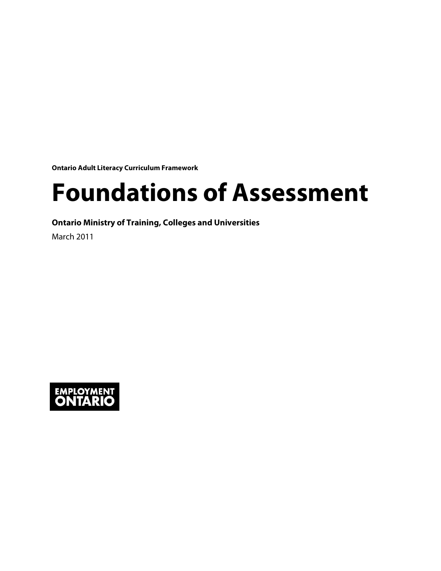**Ontario Adult Literacy Curriculum Framework**

# **Foundations of Assessment**

**Ontario Ministry of Training, Colleges and Universities**

March 2011

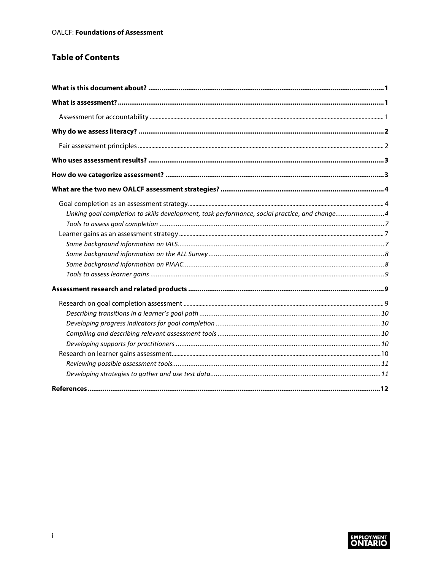#### **Table of Contents**

| Linking goal completion to skills development, task performance, social practice, and change4 |  |
|-----------------------------------------------------------------------------------------------|--|
|                                                                                               |  |
|                                                                                               |  |
|                                                                                               |  |
|                                                                                               |  |
|                                                                                               |  |
|                                                                                               |  |
|                                                                                               |  |
|                                                                                               |  |
|                                                                                               |  |
|                                                                                               |  |
|                                                                                               |  |
|                                                                                               |  |
|                                                                                               |  |
|                                                                                               |  |
|                                                                                               |  |

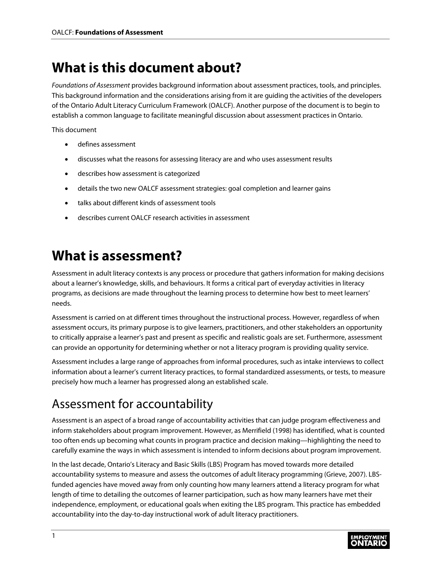# <span id="page-2-0"></span>**What is this document about?**

*Foundations of Assessment* provides background information about assessment practices, tools, and principles. This background information and the considerations arising from it are guiding the activities of the developers of the Ontario Adult Literacy Curriculum Framework (OALCF). Another purpose of the document is to begin to establish a common language to facilitate meaningful discussion about assessment practices in Ontario.

This document

- defines assessment
- discusses what the reasons for assessing literacy are and who uses assessment results
- describes how assessment is categorized
- details the two new OALCF assessment strategies: goal completion and learner gains
- talks about different kinds of assessment tools
- describes current OALCF research activities in assessment

# <span id="page-2-1"></span>**What is assessment?**

Assessment in adult literacy contexts is any process or procedure that gathers information for making decisions about a learner's knowledge, skills, and behaviours. It forms a critical part of everyday activities in literacy programs, as decisions are made throughout the learning process to determine how best to meet learners' needs.

Assessment is carried on at different times throughout the instructional process. However, regardless of when assessment occurs, its primary purpose is to give learners, practitioners, and other stakeholders an opportunity to critically appraise a learner's past and present as specific and realistic goals are set. Furthermore, assessment can provide an opportunity for determining whether or not a literacy program is providing quality service.

Assessment includes a large range of approaches from informal procedures, such as intake interviews to collect information about a learner's current literacy practices, to formal standardized assessments, or tests, to measure precisely how much a learner has progressed along an established scale.

# <span id="page-2-2"></span>Assessment for accountability

Assessment is an aspect of a broad range of accountability activities that can judge program effectiveness and inform stakeholders about program improvement. However, as Merrifield (1998) has identified, what is counted too often ends up becoming what counts in program practice and decision making—highlighting the need to carefully examine the ways in which assessment is intended to inform decisions about program improvement.

In the last decade, Ontario's Literacy and Basic Skills (LBS) Program has moved towards more detailed accountability systems to measure and assess the outcomes of adult literacy programming (Grieve, 2007). LBSfunded agencies have moved away from only counting how many learners attend a literacy program for what length of time to detailing the outcomes of learner participation, such as how many learners have met their independence, employment, or educational goals when exiting the LBS program. This practice has embedded accountability into the day-to-day instructional work of adult literacy practitioners.

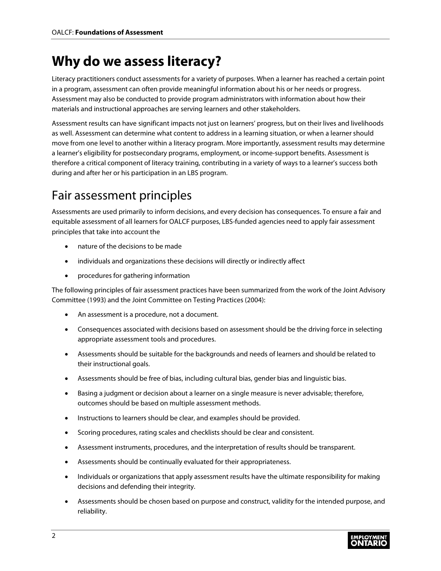# <span id="page-3-0"></span>**Why do we assess literacy?**

Literacy practitioners conduct assessments for a variety of purposes. When a learner has reached a certain point in a program, assessment can often provide meaningful information about his or her needs or progress. Assessment may also be conducted to provide program administrators with information about how their materials and instructional approaches are serving learners and other stakeholders.

Assessment results can have significant impacts not just on learners' progress, but on their lives and livelihoods as well. Assessment can determine what content to address in a learning situation, or when a learner should move from one level to another within a literacy program. More importantly, assessment results may determine a learner's eligibility for postsecondary programs, employment, or income-support benefits. Assessment is therefore a critical component of literacy training, contributing in a variety of ways to a learner's success both during and after her or his participation in an LBS program.

### <span id="page-3-1"></span>Fair assessment principles

Assessments are used primarily to inform decisions, and every decision has consequences. To ensure a fair and equitable assessment of all learners for OALCF purposes, LBS-funded agencies need to apply fair assessment principles that take into account the

- nature of the decisions to be made
- individuals and organizations these decisions will directly or indirectly affect
- procedures for gathering information

The following principles of fair assessment practices have been summarized from the work of the Joint Advisory Committee (1993) and the Joint Committee on Testing Practices (2004):

- An assessment is a procedure, not a document.
- Consequences associated with decisions based on assessment should be the driving force in selecting appropriate assessment tools and procedures.
- Assessments should be suitable for the backgrounds and needs of learners and should be related to their instructional goals.
- Assessments should be free of bias, including cultural bias, gender bias and linguistic bias.
- Basing a judgment or decision about a learner on a single measure is never advisable; therefore, outcomes should be based on multiple assessment methods.
- Instructions to learners should be clear, and examples should be provided.
- Scoring procedures, rating scales and checklists should be clear and consistent.
- Assessment instruments, procedures, and the interpretation of results should be transparent.
- Assessments should be continually evaluated for their appropriateness.
- Individuals or organizations that apply assessment results have the ultimate responsibility for making decisions and defending their integrity.
- Assessments should be chosen based on purpose and construct, validity for the intended purpose, and reliability.

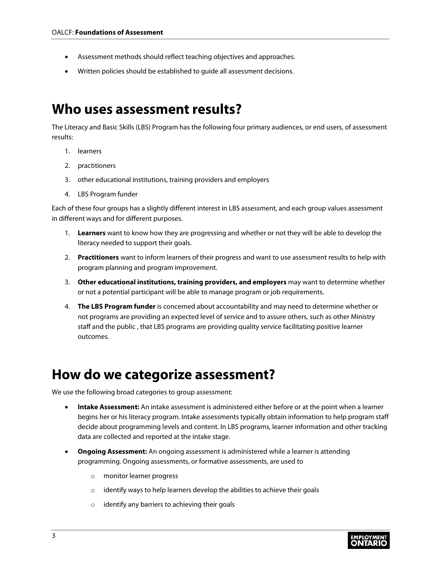- Assessment methods should reflect teaching objectives and approaches.
- Written policies should be established to guide all assessment decisions.

### <span id="page-4-0"></span>**Who uses assessment results?**

The Literacy and Basic Skills (LBS) Program has the following four primary audiences, or end users, of assessment results:

- 1. learners
- 2. practitioners
- 3. other educational institutions, training providers and employers
- 4. LBS Program funder

Each of these four groups has a slightly different interest in LBS assessment, and each group values assessment in different ways and for different purposes.

- 1. **Learners** want to know how they are progressing and whether or not they will be able to develop the literacy needed to support their goals.
- 2. **Practitioners** want to inform learners of their progress and want to use assessment results to help with program planning and program improvement.
- 3. **Other educational institutions, training providers, and employers** may want to determine whether or not a potential participant will be able to manage program or job requirements.
- 4. **The LBS Program funder** is concerned about accountability and may need to determine whether or not programs are providing an expected level of service and to assure others, such as other Ministry staff and the public , that LBS programs are providing quality service facilitating positive learner outcomes.

### <span id="page-4-1"></span>**How do we categorize assessment?**

We use the following broad categories to group assessment:

- **Intake Assessment:** An intake assessment is administered either before or at the point when a learner begins her or his literacy program. Intake assessments typically obtain information to help program staff decide about programming levels and content. In LBS programs, learner information and other tracking data are collected and reported at the intake stage.
- **Ongoing Assessment:** An ongoing assessment is administered while a learner is attending programming. Ongoing assessments, or formative assessments, are used to
	- o monitor learner progress
	- o identify ways to help learners develop the abilities to achieve their goals
	- o identify any barriers to achieving their goals

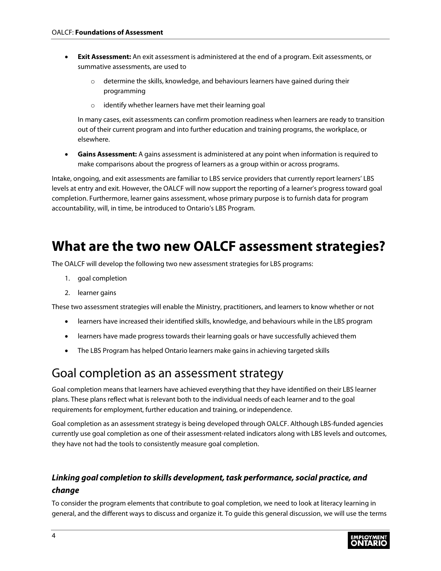- **Exit Assessment:** An exit assessment is administered at the end of a program. Exit assessments, or summative assessments, are used to
	- $\circ$  determine the skills, knowledge, and behaviours learners have gained during their programming
	- o identify whether learners have met their learning goal

In many cases, exit assessments can confirm promotion readiness when learners are ready to transition out of their current program and into further education and training programs, the workplace, or elsewhere.

• **Gains Assessment:** A gains assessment is administered at any point when information is required to make comparisons about the progress of learners as a group within or across programs.

Intake, ongoing, and exit assessments are familiar to LBS service providers that currently report learners' LBS levels at entry and exit. However, the OALCF will now support the reporting of a learner's progress toward goal completion. Furthermore, learner gains assessment, whose primary purpose is to furnish data for program accountability, will, in time, be introduced to Ontario's LBS Program.

# <span id="page-5-0"></span>**What are the two new OALCF assessment strategies?**

The OALCF will develop the following two new assessment strategies for LBS programs:

- 1. goal completion
- 2. learner gains

These two assessment strategies will enable the Ministry, practitioners, and learners to know whether or not

- learners have increased their identified skills, knowledge, and behaviours while in the LBS program
- learners have made progress towards their learning goals or have successfully achieved them
- The LBS Program has helped Ontario learners make gains in achieving targeted skills

### <span id="page-5-1"></span>Goal completion as an assessment strategy

Goal completion means that learners have achieved everything that they have identified on their LBS learner plans. These plans reflect what is relevant both to the individual needs of each learner and to the goal requirements for employment, further education and training, or independence.

Goal completion as an assessment strategy is being developed through OALCF. Although LBS-funded agencies currently use goal completion as one of their assessment-related indicators along with LBS levels and outcomes, they have not had the tools to consistently measure goal completion.

#### <span id="page-5-2"></span>*Linking goal completion to skills development, task performance, social practice, and change*

To consider the program elements that contribute to goal completion, we need to look at literacy learning in general, and the different ways to discuss and organize it. To guide this general discussion, we will use the terms

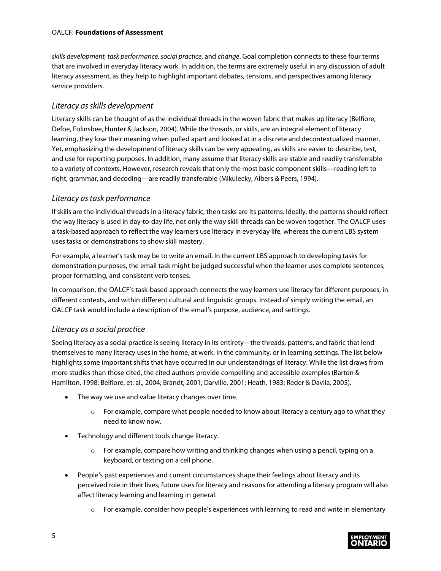*skills development, task performance, social practice*, and *change*. Goal completion connects to these four terms that are involved in everyday literacy work. In addition, the terms are extremely useful in any discussion of adult literacy assessment, as they help to highlight important debates, tensions, and perspectives among literacy service providers.

#### *Literacy as skills development*

Literacy skills can be thought of as the individual threads in the woven fabric that makes up literacy (Belfiore, Defoe, Folinsbee, Hunter & Jackson, 2004). While the threads, or skills, are an integral element of literacy learning, they lose their meaning when pulled apart and looked at in a discrete and decontextualized manner. Yet, emphasizing the development of literacy skills can be very appealing, as skills are easier to describe, test, and use for reporting purposes. In addition, many assume that literacy skills are stable and readily transferrable to a variety of contexts. However, research reveals that only the most basic component skills—reading left to right, grammar, and decoding—are readily transferable (Mikulecky, Albers & Peers, 1994).

#### *Literacy as task performance*

If skills are the individual threads in a literacy fabric, then tasks are its patterns. Ideally, the patterns should reflect the way literacy is used in day-to-day life, not only the way skill threads can be woven together. The OALCF uses a task-based approach to reflect the way learners use literacy in everyday life, whereas the current LBS system uses tasks or demonstrations to show skill mastery.

For example, a learner's task may be to write an email. In the current LBS approach to developing tasks for demonstration purposes, the email task might be judged successful when the learner uses complete sentences, proper formatting, and consistent verb tenses.

In comparison, the OALCF's task-based approach connects the way learners use literacy for different purposes, in different contexts, and within different cultural and linguistic groups. Instead of simply writing the email, an OALCF task would include a description of the email's purpose, audience, and settings.

#### *Literacy as a social practice*

Seeing literacy as a social practice is seeing literacy in its entirety---the threads, patterns, and fabric that lend themselves to many literacy uses in the home, at work, in the community, or in learning settings. The list below highlights some important shifts that have occurred in our understandings of literacy. While the list draws from more studies than those cited, the cited authors provide compelling and accessible examples (Barton & Hamilton, 1998; Belfiore, et. al., 2004; Brandt, 2001; Darville, 2001; Heath, 1983; Reder & Davila, 2005).

- The way we use and value literacy changes over time.
	- $\circ$  For example, compare what people needed to know about literacy a century ago to what they need to know now.
- Technology and different tools change literacy.
	- $\circ$  For example, compare how writing and thinking changes when using a pencil, typing on a keyboard, or texting on a cell phone.
- People's past experiences and current circumstances shape their feelings about literacy and its perceived role in their lives; future uses for literacy and reasons for attending a literacy program will also affect literacy learning and learning in general.
	- $\circ$  For example, consider how people's experiences with learning to read and write in elementary

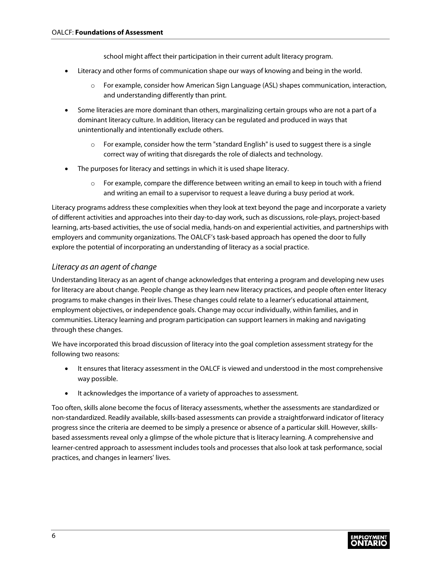school might affect their participation in their current adult literacy program.

- Literacy and other forms of communication shape our ways of knowing and being in the world.
	- o For example, consider how American Sign Language (ASL) shapes communication, interaction, and understanding differently than print.
- Some literacies are more dominant than others, marginalizing certain groups who are not a part of a dominant literacy culture. In addition, literacy can be regulated and produced in ways that unintentionally and intentionally exclude others.
	- $\circ$  For example, consider how the term "standard English" is used to suggest there is a single correct way of writing that disregards the role of dialects and technology.
- The purposes for literacy and settings in which it is used shape literacy.
	- $\circ$  For example, compare the difference between writing an email to keep in touch with a friend and writing an email to a supervisor to request a leave during a busy period at work.

Literacy programs address these complexities when they look at text beyond the page and incorporate a variety of different activities and approaches into their day-to-day work, such as discussions, role-plays, project-based learning, arts-based activities, the use of social media, hands-on and experiential activities, and partnerships with employers and community organizations. The OALCF's task-based approach has opened the door to fully explore the potential of incorporating an understanding of literacy as a social practice.

#### *Literacy as an agent of change*

Understanding literacy as an agent of change acknowledges that entering a program and developing new uses for literacy are about change. People change as they learn new literacy practices, and people often enter literacy programs to make changes in their lives. These changes could relate to a learner's educational attainment, employment objectives, or independence goals. Change may occur individually, within families, and in communities. Literacy learning and program participation can support learners in making and navigating through these changes.

We have incorporated this broad discussion of literacy into the goal completion assessment strategy for the following two reasons:

- It ensures that literacy assessment in the OALCF is viewed and understood in the most comprehensive way possible.
- It acknowledges the importance of a variety of approaches to assessment.

Too often, skills alone become the focus of literacy assessments, whether the assessments are standardized or non-standardized. Readily available, skills-based assessments can provide a straightforward indicator of literacy progress since the criteria are deemed to be simply a presence or absence of a particular skill. However, skillsbased assessments reveal only a glimpse of the whole picture that is literacy learning. A comprehensive and learner-centred approach to assessment includes tools and processes that also look at task performance, social practices, and changes in learners' lives.

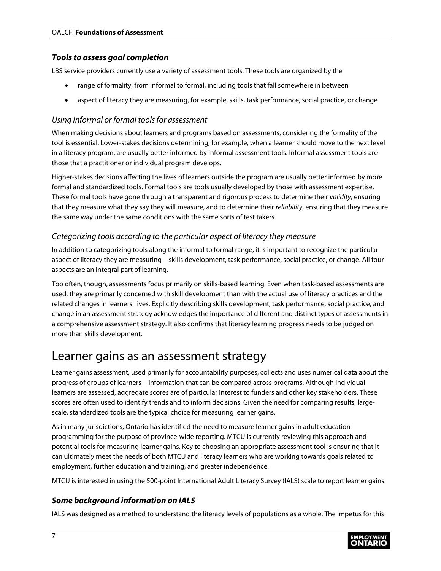#### <span id="page-8-0"></span>*Tools to assess goal completion*

LBS service providers currently use a variety of assessment tools. These tools are organized by the

- range of formality, from informal to formal, including tools that fall somewhere in between
- aspect of literacy they are measuring, for example, skills, task performance, social practice, or change

#### *Using informal or formal tools for assessment*

When making decisions about learners and programs based on assessments, considering the formality of the tool is essential. Lower-stakes decisions determining, for example, when a learner should move to the next level in a literacy program, are usually better informed by informal assessment tools. Informal assessment tools are those that a practitioner or individual program develops.

Higher-stakes decisions affecting the lives of learners outside the program are usually better informed by more formal and standardized tools. Formal tools are tools usually developed by those with assessment expertise. These formal tools have gone through a transparent and rigorous process to determine their *validity*, ensuring that they measure what they say they will measure, and to determine their *reliability*, ensuring that they measure the same way under the same conditions with the same sorts of test takers.

#### *Categorizing tools according to the particular aspect of literacy they measure*

In addition to categorizing tools along the informal to formal range, it is important to recognize the particular aspect of literacy they are measuring—skills development, task performance, social practice, or change. All four aspects are an integral part of learning.

Too often, though, assessments focus primarily on skills-based learning. Even when task-based assessments are used, they are primarily concerned with skill development than with the actual use of literacy practices and the related changes in learners' lives. Explicitly describing skills development, task performance, social practice, and change in an assessment strategy acknowledges the importance of different and distinct types of assessments in a comprehensive assessment strategy. It also confirms that literacy learning progress needs to be judged on more than skills development.

### <span id="page-8-1"></span>Learner gains as an assessment strategy

Learner gains assessment, used primarily for accountability purposes, collects and uses numerical data about the progress of groups of learners—information that can be compared across programs. Although individual learners are assessed, aggregate scores are of particular interest to funders and other key stakeholders. These scores are often used to identify trends and to inform decisions. Given the need for comparing results, largescale, standardized tools are the typical choice for measuring learner gains.

As in many jurisdictions, Ontario has identified the need to measure learner gains in adult education programming for the purpose of province-wide reporting. MTCU is currently reviewing this approach and potential tools for measuring learner gains. Key to choosing an appropriate assessment tool is ensuring that it can ultimately meet the needs of both MTCU and literacy learners who are working towards goals related to employment, further education and training, and greater independence.

MTCU is interested in using the 500-point International Adult Literacy Survey (IALS) scale to report learner gains.

#### <span id="page-8-2"></span>*Some background information on IALS*

IALS was designed as a method to understand the literacy levels of populations as a whole. The impetus for this

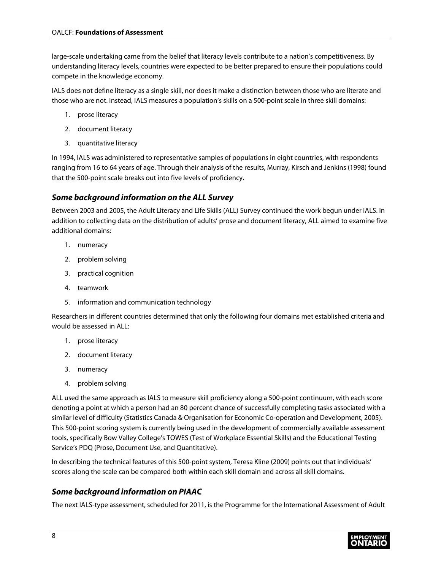large-scale undertaking came from the belief that literacy levels contribute to a nation's competitiveness. By understanding literacy levels, countries were expected to be better prepared to ensure their populations could compete in the knowledge economy.

IALS does not define literacy as a single skill, nor does it make a distinction between those who are literate and those who are not. Instead, IALS measures a population's skills on a 500-point scale in three skill domains:

- 1. prose literacy
- 2. document literacy
- 3. quantitative literacy

In 1994, IALS was administered to representative samples of populations in eight countries, with respondents ranging from 16 to 64 years of age. Through their analysis of the results, Murray, Kirsch and Jenkins (1998) found that the 500-point scale breaks out into five levels of proficiency.

#### <span id="page-9-0"></span>*Some background information on the ALL Survey*

Between 2003 and 2005, the Adult Literacy and Life Skills (ALL) Survey continued the work begun under IALS. In addition to collecting data on the distribution of adults' prose and document literacy, ALL aimed to examine five additional domains:

- 1. numeracy
- 2. problem solving
- 3. practical cognition
- 4. teamwork
- 5. information and communication technology

Researchers in different countries determined that only the following four domains met established criteria and would be assessed in ALL:

- 1. prose literacy
- 2. document literacy
- 3. numeracy
- 4. problem solving

ALL used the same approach as IALS to measure skill proficiency along a 500-point continuum, with each score denoting a point at which a person had an 80 percent chance of successfully completing tasks associated with a similar level of difficulty (Statistics Canada & Organisation for Economic Co-operation and Development, 2005). This 500-point scoring system is currently being used in the development of commercially available assessment tools, specifically Bow Valley College's TOWES (Test of Workplace Essential Skills) and the Educational Testing Service's PDQ (Prose, Document Use, and Quantitative).

In describing the technical features of this 500-point system, Teresa Kline (2009) points out that individuals' scores along the scale can be compared both within each skill domain and across all skill domains.

#### <span id="page-9-1"></span>*Some background information on PIAAC*

The next IALS-type assessment, scheduled for 2011, is the Programme for the International Assessment of Adult

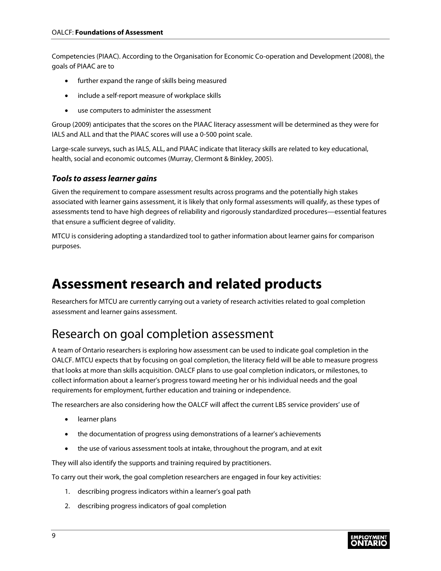Competencies (PIAAC). According to the Organisation for Economic Co-operation and Development (2008), the goals of PIAAC are to

- further expand the range of skills being measured
- include a self-report measure of workplace skills
- use computers to administer the assessment

Group (2009) anticipates that the scores on the PIAAC literacy assessment will be determined as they were for IALS and ALL and that the PIAAC scores will use a 0-500 point scale.

Large-scale surveys, such as IALS, ALL, and PIAAC indicate that literacy skills are related to key educational, health, social and economic outcomes (Murray, Clermont & Binkley, 2005).

#### <span id="page-10-0"></span>*Tools to assess learner gains*

Given the requirement to compare assessment results across programs and the potentially high stakes associated with learner gains assessment, it is likely that only formal assessments will qualify, as these types of assessments tend to have high degrees of reliability and rigorously standardized procedures—essential features that ensure a sufficient degree of validity.

MTCU is considering adopting a standardized tool to gather information about learner gains for comparison purposes.

# <span id="page-10-1"></span>**Assessment research and related products**

Researchers for MTCU are currently carrying out a variety of research activities related to goal completion assessment and learner gains assessment.

### <span id="page-10-2"></span>Research on goal completion assessment

A team of Ontario researchers is exploring how assessment can be used to indicate goal completion in the OALCF. MTCU expects that by focusing on goal completion, the literacy field will be able to measure progress that looks at more than skills acquisition. OALCF plans to use goal completion indicators, or milestones, to collect information about a learner's progress toward meeting her or his individual needs and the goal requirements for employment, further education and training or independence.

The researchers are also considering how the OALCF will affect the current LBS service providers' use of

- learner plans
- the documentation of progress using demonstrations of a learner's achievements
- the use of various assessment tools at intake, throughout the program, and at exit

They will also identify the supports and training required by practitioners.

To carry out their work, the goal completion researchers are engaged in four key activities:

- 1. describing progress indicators within a learner's goal path
- 2. describing progress indicators of goal completion

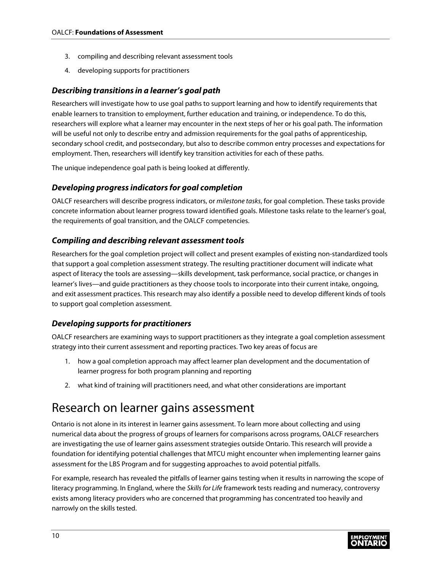- 3. compiling and describing relevant assessment tools
- 4. developing supports for practitioners

#### <span id="page-11-0"></span>*Describing transitions in a learner's goal path*

Researchers will investigate how to use goal paths to support learning and how to identify requirements that enable learners to transition to employment, further education and training, or independence. To do this, researchers will explore what a learner may encounter in the next steps of her or his goal path. The information will be useful not only to describe entry and admission requirements for the goal paths of apprenticeship, secondary school credit, and postsecondary, but also to describe common entry processes and expectations for employment. Then, researchers will identify key transition activities for each of these paths.

The unique independence goal path is being looked at differently.

#### <span id="page-11-1"></span>*Developing progress indicators for goal completion*

OALCF researchers will describe progress indicators, or *milestone tasks*, for goal completion. These tasks provide concrete information about learner progress toward identified goals. Milestone tasks relate to the learner's goal, the requirements of goal transition, and the OALCF competencies.

#### <span id="page-11-2"></span>*Compiling and describing relevant assessment tools*

Researchers for the goal completion project will collect and present examples of existing non-standardized tools that support a goal completion assessment strategy. The resulting practitioner document will indicate what aspect of literacy the tools are assessing—skills development, task performance, social practice, or changes in learner's lives—and guide practitioners as they choose tools to incorporate into their current intake, ongoing, and exit assessment practices. This research may also identify a possible need to develop different kinds of tools to support goal completion assessment.

#### <span id="page-11-3"></span>*Developing supports for practitioners*

OALCF researchers are examining ways to support practitioners as they integrate a goal completion assessment strategy into their current assessment and reporting practices. Two key areas of focus are

- 1. how a goal completion approach may affect learner plan development and the documentation of learner progress for both program planning and reporting
- 2. what kind of training will practitioners need, and what other considerations are important

### <span id="page-11-4"></span>Research on learner gains assessment

Ontario is not alone in its interest in learner gains assessment. To learn more about collecting and using numerical data about the progress of groups of learners for comparisons across programs, OALCF researchers are investigating the use of learner gains assessment strategies outside Ontario. This research will provide a foundation for identifying potential challenges that MTCU might encounter when implementing learner gains assessment for the LBS Program and for suggesting approaches to avoid potential pitfalls.

For example, research has revealed the pitfalls of learner gains testing when it results in narrowing the scope of literacy programming. In England, where the *Skills for Life* framework tests reading and numeracy, controversy exists among literacy providers who are concerned that programming has concentrated too heavily and narrowly on the skills tested.

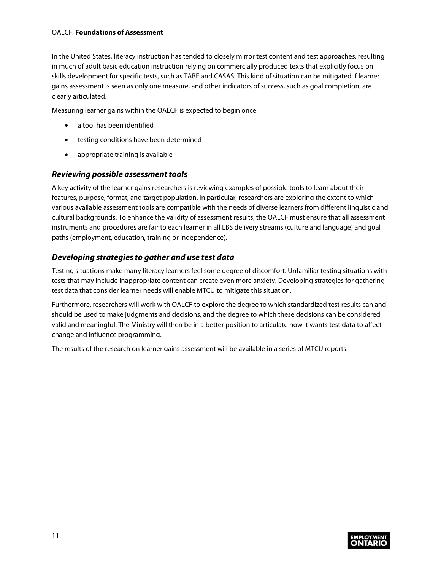In the United States, literacy instruction has tended to closely mirror test content and test approaches, resulting in much of adult basic education instruction relying on commercially produced texts that explicitly focus on skills development for specific tests, such as TABE and CASAS. This kind of situation can be mitigated if learner gains assessment is seen as only one measure, and other indicators of success, such as goal completion, are clearly articulated.

Measuring learner gains within the OALCF is expected to begin once

- a tool has been identified
- testing conditions have been determined
- appropriate training is available

#### <span id="page-12-0"></span>*Reviewing possible assessment tools*

A key activity of the learner gains researchers is reviewing examples of possible tools to learn about their features, purpose, format, and target population. In particular, researchers are exploring the extent to which various available assessment tools are compatible with the needs of diverse learners from different linguistic and cultural backgrounds. To enhance the validity of assessment results, the OALCF must ensure that all assessment instruments and procedures are fair to each learner in all LBS delivery streams (culture and language) and goal paths (employment, education, training or independence).

#### <span id="page-12-1"></span>*Developing strategies to gather and use test data*

Testing situations make many literacy learners feel some degree of discomfort. Unfamiliar testing situations with tests that may include inappropriate content can create even more anxiety. Developing strategies for gathering test data that consider learner needs will enable MTCU to mitigate this situation.

Furthermore, researchers will work with OALCF to explore the degree to which standardized test results can and should be used to make judgments and decisions, and the degree to which these decisions can be considered valid and meaningful. The Ministry will then be in a better position to articulate how it wants test data to affect change and influence programming.

The results of the research on learner gains assessment will be available in a series of MTCU reports.

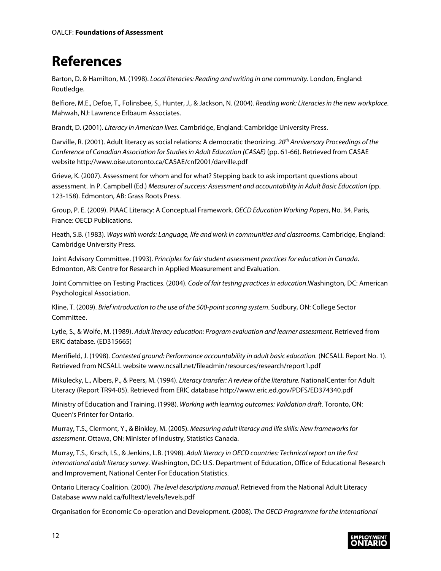# <span id="page-13-0"></span>**References**

Barton, D. & Hamilton, M. (1998). *Local literacies: Reading and writing in one community*. London, England: Routledge.

Belfiore, M.E., Defoe, T., Folinsbee, S., Hunter, J., & Jackson, N. (2004). *Reading work: Literacies in the new workplace*. Mahwah, NJ: Lawrence Erlbaum Associates.

Brandt, D. (2001). *Literacy in American lives*. Cambridge, England: Cambridge University Press.

Darville, R. (2001). Adult literacy as social relations: A democratic theorizing. *20th Anniversary Proceedings of the Conference of Canadian Association for Studies in Adult Education (CASAE)* (pp. 61-66). Retrieved from CASAE website <http://www.oise.utoronto.ca/CASAE/cnf2001/darville.pdf>

Grieve, K. (2007). Assessment for whom and for what? Stepping back to ask important questions about assessment. In P. Campbell (Ed.) *Measures of success: Assessment and accountability in Adult Basic Education* (pp. 123-158). Edmonton, AB: Grass Roots Press.

Group, P. E. (2009). PIAAC Literacy: A Conceptual Framework. *OECD Education Working Papers*, No. 34. Paris, France: OECD Publications.

Heath, S.B. (1983). *Ways with words: Language, life and work in communities and classrooms*. Cambridge, England: Cambridge University Press.

Joint Advisory Committee. (1993). *Principles for fair student assessment practices for education in Canada*. Edmonton, AB: Centre for Research in Applied Measurement and Evaluation.

Joint Committee on Testing Practices. (2004). *Code of fair testing practices in education*.Washington, DC: American Psychological Association.

Kline, T. (2009). *Brief introduction to the use of the 500-point scoring system*. Sudbury, ON: College Sector Committee.

Lytle, S., & Wolfe, M. (1989). *Adult literacy education: Program evaluation and learner assessment*. Retrieved from ERIC database. (ED315665)

Merrifield, J. (1998). *Contested ground: Performance accountability in adult basic education.* (NCSALL Report No. 1). Retrieved from NCSALL website [www.ncsall.net/fileadmin/resources/research/report1.pdf](http://www.ncsall.net/fileadmin/resources/research/report1.pdf)

Mikulecky, L., Albers, P., & Peers, M. (1994). *Literacy transfer: A review of the literature*. NationalCenter for Adult Literacy (Report TR94-05). Retrieved from ERIC database <http://www.eric.ed.gov/PDFS/ED374340.pdf>

Ministry of Education and Training. (1998). *Working with learning outcomes: Validation draft*. Toronto, ON: Queen's Printer for Ontario.

Murray, T.S., Clermont, Y., & Binkley, M. (2005). *Measuring adult literacy and life skills: New frameworks for assessment*. Ottawa, ON: Minister of Industry, Statistics Canada.

Murray, T.S., Kirsch, I.S., & Jenkins, L.B. (1998). *Adult literacy in OECD countries: Technical report on the first international adult literacy survey*. Washington, DC: U.S. Department of Education, Office of Educational Research and Improvement, National Center For Education Statistics.

Ontario Literacy Coalition. (2000). *The level descriptions manual*. Retrieved from the National Adult Literacy Database [www.nald.ca/fulltext/levels/levels.pdf](http://www.nald.ca/fulltext/levels/levels.pdf)

Organisation for Economic Co-operation and Development. (2008). *The OECD Programme for the International*